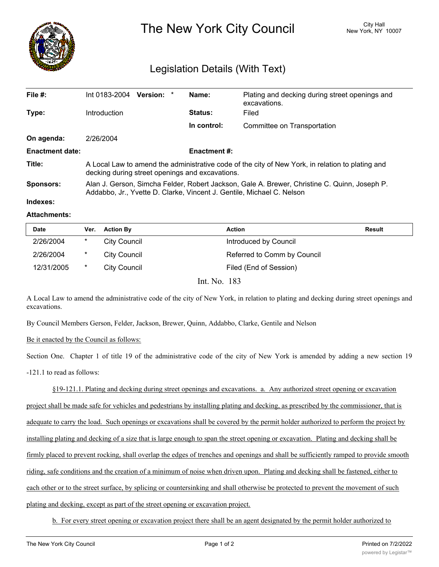

The New York City Council New York, NY 10007

## Legislation Details (With Text)

| File $#$ :             | Int 0183-2004                                                                                                                                                         | <b>Version:</b> |  | Name:          | Plating and decking during street openings and<br>excavations. |  |
|------------------------|-----------------------------------------------------------------------------------------------------------------------------------------------------------------------|-----------------|--|----------------|----------------------------------------------------------------|--|
| Type:                  | Introduction                                                                                                                                                          |                 |  | <b>Status:</b> | Filed                                                          |  |
|                        |                                                                                                                                                                       |                 |  | In control:    | Committee on Transportation                                    |  |
| On agenda:             | 2/26/2004                                                                                                                                                             |                 |  |                |                                                                |  |
| <b>Enactment date:</b> | <b>Enactment #:</b>                                                                                                                                                   |                 |  |                |                                                                |  |
| Title:                 | A Local Law to amend the administrative code of the city of New York, in relation to plating and<br>decking during street openings and excavations.                   |                 |  |                |                                                                |  |
| Sponsors:              | Alan J. Gerson, Simcha Felder, Robert Jackson, Gale A. Brewer, Christine C. Quinn, Joseph P.<br>Addabbo, Jr., Yvette D. Clarke, Vincent J. Gentile, Michael C. Nelson |                 |  |                |                                                                |  |
| Indexes:               |                                                                                                                                                                       |                 |  |                |                                                                |  |

## **Attachments:**

| <b>Date</b> | Ver.    | <b>Action By</b>    | <b>Action</b>               | <b>Result</b> |
|-------------|---------|---------------------|-----------------------------|---------------|
| 2/26/2004   | $\ast$  | City Council        | Introduced by Council       |               |
| 2/26/2004   | $\star$ | City Council        | Referred to Comm by Council |               |
| 12/31/2005  | *       | <b>City Council</b> | Filed (End of Session)      |               |

Int. No. 183

A Local Law to amend the administrative code of the city of New York, in relation to plating and decking during street openings and excavations.

By Council Members Gerson, Felder, Jackson, Brewer, Quinn, Addabbo, Clarke, Gentile and Nelson

Be it enacted by the Council as follows:

Section One. Chapter 1 of title 19 of the administrative code of the city of New York is amended by adding a new section 19 -121.1 to read as follows:

§19-121.1. Plating and decking during street openings and excavations. a. Any authorized street opening or excavation project shall be made safe for vehicles and pedestrians by installing plating and decking, as prescribed by the commissioner, that is adequate to carry the load. Such openings or excavations shall be covered by the permit holder authorized to perform the project by installing plating and decking of a size that is large enough to span the street opening or excavation. Plating and decking shall be firmly placed to prevent rocking, shall overlap the edges of trenches and openings and shall be sufficiently ramped to provide smooth riding, safe conditions and the creation of a minimum of noise when driven upon. Plating and decking shall be fastened, either to each other or to the street surface, by splicing or countersinking and shall otherwise be protected to prevent the movement of such plating and decking, except as part of the street opening or excavation project.

b. For every street opening or excavation project there shall be an agent designated by the permit holder authorized to